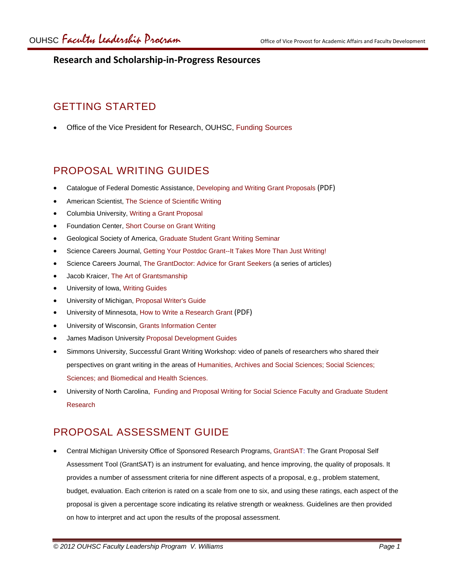### **Research and Scholarship‐in‐Progress Resources**

# GETTING STARTED

• Office of the Vice President for Research, OUHSC, [Funding Sources](http://research.ouhsc.edu/grants/funding-sources/)

## PROPOSAL WRITING GUIDES

- Catalogue of Federal Domestic Assistance, [Developing and Writing Grant Proposals](https://cfda.symplicity.com/downloads/CFDA_writing.pdf) (PDF)
- American Scientist, [The Science of Scientific Writing](http://www.americanscientist.org/issues/feature/the-science-of-scientific-writing/1)
- Columbia University, [Writing a Grant Proposal](http://www.cumc.columbia.edu/dept/gsas/ac_programs/writing.htm)
- Foundation Center, [Short Course on Grant Writing](http://fdncenter.org/learn/shortcourse/prop1.html)
- Geological Society of America, [Graduate Student Grant Writing Seminar](http://www.geosociety.org/grants/04gw_wkshp/index.htm)
- Science Careers Journal, [Getting Your Postdoc Grant--It Takes More Than Just Writing!](http://sciencecareers.sciencemag.org/career_development/previous_issues/articles/0210/getting_your_postdoc_grant_it_takes_more_than_just_writing/)
- Science Careers Journal, [The GrantDoctor: Advice for Grant Seekers](http://sciencecareers.sciencemag.org/career_development/previous_issues/articles/0210/grantdoctor_index_of_columns) (a series of articles)
- Jacob Kraicer, [The Art of Grantsmanship](http://www.hfsp.org/how/ArtOfGrants.htm)
- University of Iowa, [Writing Guides](https://research.uiowa.edu/dsp/writing-guides)
- University of Michigan, [Proposal Writer's Guide](http://www.drda.umich.edu/proposals/pwg/pwgintro.html)
- University of Minnesota, [How to Write a Research Grant](http://www.ospa.umn.edu/fundingopportunities/researchgrant.pdf) (PDF)
- University of Wisconsin, [Grants Information Center](http://researchguides.library.wisc.edu/content.php?pid=16143&sid=108666)
- James Madison University [Proposal Development Guides](http://www.jmu.edu/sponsprog/writingtips.html)
- Simmons University, Successful Grant Writing Workshop: video of panels of researchers who shared their perspectives on grant writing in the areas of [Humanities, Archives and Social Sciences;](http://vimeo.com/12593597) [Social Sciences](http://vimeo.com/12595465); [Sciences](http://vimeo.com/12643969); and [Biomedical and Health Sciences](http://vimeo.com/12643969).
- University of North Carolina, [Funding and Proposal Writing for Social Science Faculty and Graduate Student](http://www.irss.unc.edu/odum/content/pdf/granthandout.pdf) [Research](http://www.irss.unc.edu/odum/content/pdf/granthandout.pdf)

### PROPOSAL ASSESSMENT GUIDE

• Central Michigan University Office of Sponsored Research Programs, [GrantSAT](http://www.orsp.cmich.edu/research/documents/pdf/grantsat.pdf): The Grant Proposal Self Assessment Tool (GrantSAT) is an instrument for evaluating, and hence improving, the quality of proposals. It provides a number of assessment criteria for nine different aspects of a proposal, e.g., problem statement, budget, evaluation. Each criterion is rated on a scale from one to six, and using these ratings, each aspect of the proposal is given a percentage score indicating its relative strength or weakness. Guidelines are then provided on how to interpret and act upon the results of the proposal assessment.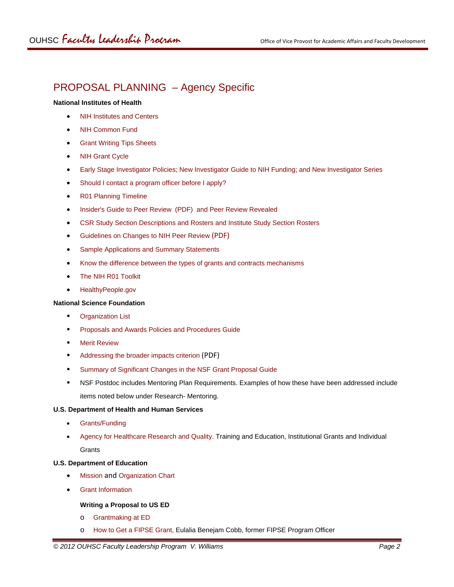# PROPOSAL PLANNING – Agency Specific

#### **National Institutes of Health**

- [NIH Institutes and Centers](http://www.nih.gov/icd/)
- [NIH Common Fund](https://commonfund.nih.gov/)
- **Grant Writing Tips Sheets**
- [NIH Grant Cycle](http://www.niaid.nih.gov/researchfunding/grant/cycle/pages/default.aspx)
- [Early Stage Investigator Policies;](http://grants.nih.gov/grants/new_investigators/index.htm) [New Investigator Guide to NIH Funding;](http://www.niaid.nih.gov/researchfunding/grant/pages/newpiguide.aspx) and [New Investigator Series](http://www.niaid.nih.gov/researchfunding/grant/pages/newpiportal.aspx#nl)
- [Should I contact a program officer before I apply?](http://nexus.od.nih.gov/all/2011/06/29/should-i-contact-a-program-officer-before-i-apply/)
- [R01 Planning Timeline](http://www.niaid.nih.gov/researchfunding/grant/pages/timelineresub.aspx)
- [Insider's Guide to Peer Review](http://cms.csr.nih.gov/nr/rdonlyres/60b2d32e-ae00-4358-8c51-2e11cc46eac8/23564/insiderguideapplicantsfinal1.pdf) (PDF) and [Peer Review Revealed](http://cms.csr.nih.gov/ResourcesforApplicants/InsidetheNIHGrantReviewProcessVideo.htm)
- [CSR Study Section Descriptions and Rosters](http://www.csr.nih.gov/Committees/rosterindex.asp) and [Institute Study Section Rosters](http://era.nih.gov/roster/index.cfm)
- [Guidelines on Changes to NIH Peer Review](http://enhancing-peer-review.nih.gov/docs/Reviewer_Guidance_Application_Changes.pdf) (PDF)
- [Sample Applications and Summary Statements](http://www.niaid.nih.gov/researchfunding/grant/pages/samples.aspx)
- [Know the difference between the types of grants and contracts mechanisms](http://www.ninds.nih.gov/funding/differences.htm)
- [The NIH R01 Toolkit](http://sciencecareers.sciencemag.org/career_development/previous_issues/articles/2007_07_27/caredit_a0700106)
- [HealthyPeople.gov](http://www.healthypeople.gov/2020/default.aspx)

#### **National Science Foundation**

- **•** Organization List
- **Proposals and Awards Policies and Procedures Guide**
- **B** [Merit Review](http://www.nsf.gov/nsb/topics/MeritReview.jsp)
- **Addressing the broader impacts criterion [\(PDF\)](http://www.nsf.gov/pubs/gpg/broaderimpacts.pdf)**
- **EXEDER IGLES** Summary of Significant Changes in the NSF Grant Proposal Guide
- **NSF Postdoc includes Mentoring Plan Requirements. Examples of how these have been addressed include** items noted below under Research- Mentoring.

#### **U.S. Department of Health and Human Services**

- [Grants/F](http://www.hhs.gov/grants/)unding
- Agency for H[ealthcare Research and Quality](http://www.ahrq.gov/). Training and Education, Institutional Grants and Individual **Grants**

#### **U.S. Department of Education**

- [Mission](http://www2.ed.gov/about/overview/mission/mission.html?src=ln) and [Organization Chart](http://www2.ed.gov/about/offices/or/index.html)
- [Grant Information](http://www2.ed.gov/about/offices/list/ocfo/grants/grants.html)

#### **Writing a Proposal to US ED**

- o [Grantmaking at ED](http://www2.ed.gov/fund/grant/about/grantmaking/index.html)
- o [How to Get a FIPSE Grant](http://www2.ed.gov/about/offices/list/ope/fipse/howtoget.html), Eulalia Benejam Cobb, former FIPSE Program Officer